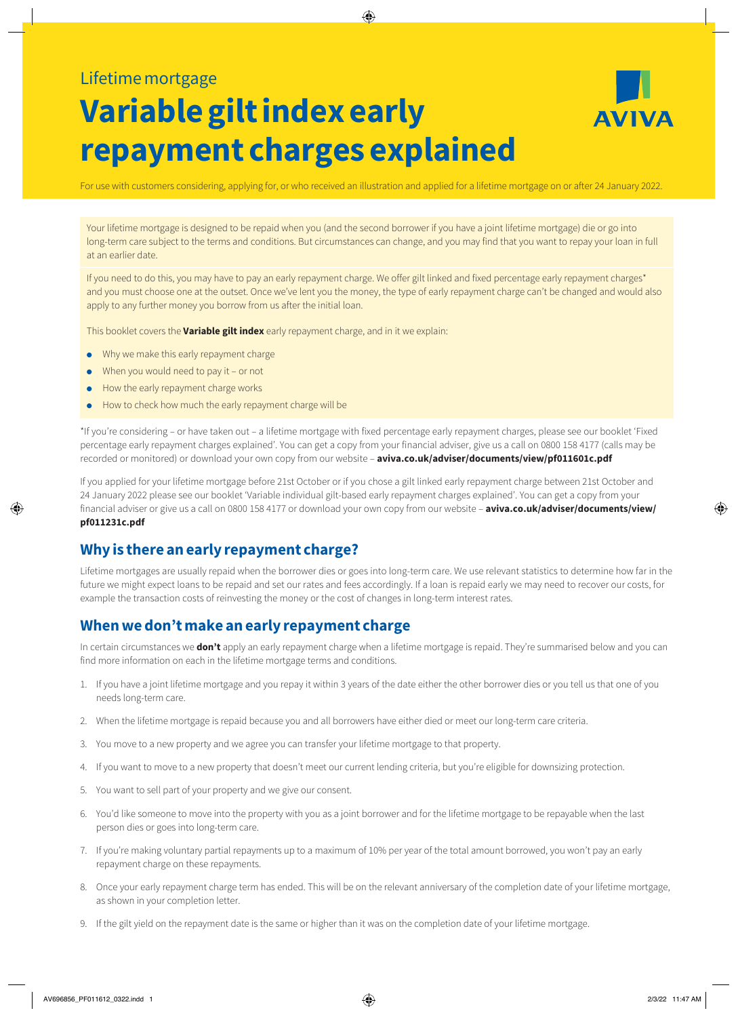## Lifetime mortgage

# **Variable gilt index early repayment charges explained**



For use with customers considering, applying for, or who received an illustration and applied for a lifetime mortgage on or after 24 January 2022.

Your lifetime mortgage is designed to be repaid when you (and the second borrower if you have a joint lifetime mortgage) die or go into long-term care subject to the terms and conditions. But circumstances can change, and you may find that you want to repay your loan in full at an earlier date.

If you need to do this, you may have to pay an early repayment charge. We offer gilt linked and fixed percentage early repayment charges\* and you must choose one at the outset. Once we've lent you the money, the type of early repayment charge can't be changed and would also apply to any further money you borrow from us after the initial loan.

This booklet covers the **Variable gilt index** early repayment charge, and in it we explain:

- ● Why we make this early repayment charge
- $\bullet$  When you would need to pay it or not
- How the early repayment charge works
- ● How to check how much the early repayment charge will be

\*If you're considering – or have taken out – a lifetime mortgage with fixed percentage early repayment charges, please see our booklet 'Fixed percentage early repayment charges explained'. You can get a copy from your financial adviser, give us a call on 0800 158 4177 (calls may be recorded or monitored) or download your own copy from our website – **[aviva.co.uk/adviser/documents/view/pf011601c.pdf](http://www.aviva.co.uk/adviser/documents/view/pf011601c.pdf)**

If you applied for your lifetime mortgage before 21st October or if you chose a gilt linked early repayment charge between 21st October and 24 January 2022 please see our booklet 'Variable individual gilt-based early repayment charges explained'. You can get a copy from your financial adviser or give us a call on 0800 158 4177 or download your own copy from our website – **[aviva.co.uk/adviser/documents/view/](aviva.co.uk/adviser/documents/view/pf011231c.pdf) [pf011231c.pdf](aviva.co.uk/adviser/documents/view/pf011231c.pdf)**

## **Why is there an early repayment charge?**

Lifetime mortgages are usually repaid when the borrower dies or goes into long-term care. We use relevant statistics to determine how far in the future we might expect loans to be repaid and set our rates and fees accordingly. If a loan is repaid early we may need to recover our costs, for example the transaction costs of reinvesting the money or the cost of changes in long-term interest rates.

## **When we don't make an early repayment charge**

In certain circumstances we **don't** apply an early repayment charge when a lifetime mortgage is repaid. They're summarised below and you can find more information on each in the lifetime mortgage terms and conditions.

- 1. If you have a joint lifetime mortgage and you repay it within 3 years of the date either the other borrower dies or you tell us that one of you needs long-term care.
- 2. When the lifetime mortgage is repaid because you and all borrowers have either died or meet our long-term care criteria.
- 3. You move to a new property and we agree you can transfer your lifetime mortgage to that property.
- 4. If you want to move to a new property that doesn't meet our current lending criteria, but you're eligible for downsizing protection.
- 5. You want to sell part of your property and we give our consent.
- 6. You'd like someone to move into the property with you as a joint borrower and for the lifetime mortgage to be repayable when the last person dies or goes into long-term care.
- 7. If you're making voluntary partial repayments up to a maximum of 10% per year of the total amount borrowed, you won't pay an early repayment charge on these repayments.
- 8. Once your early repayment charge term has ended. This will be on the relevant anniversary of the completion date of your lifetime mortgage, as shown in your completion letter.
- 9. If the gilt yield on the repayment date is the same or higher than it was on the completion date of your lifetime mortgage.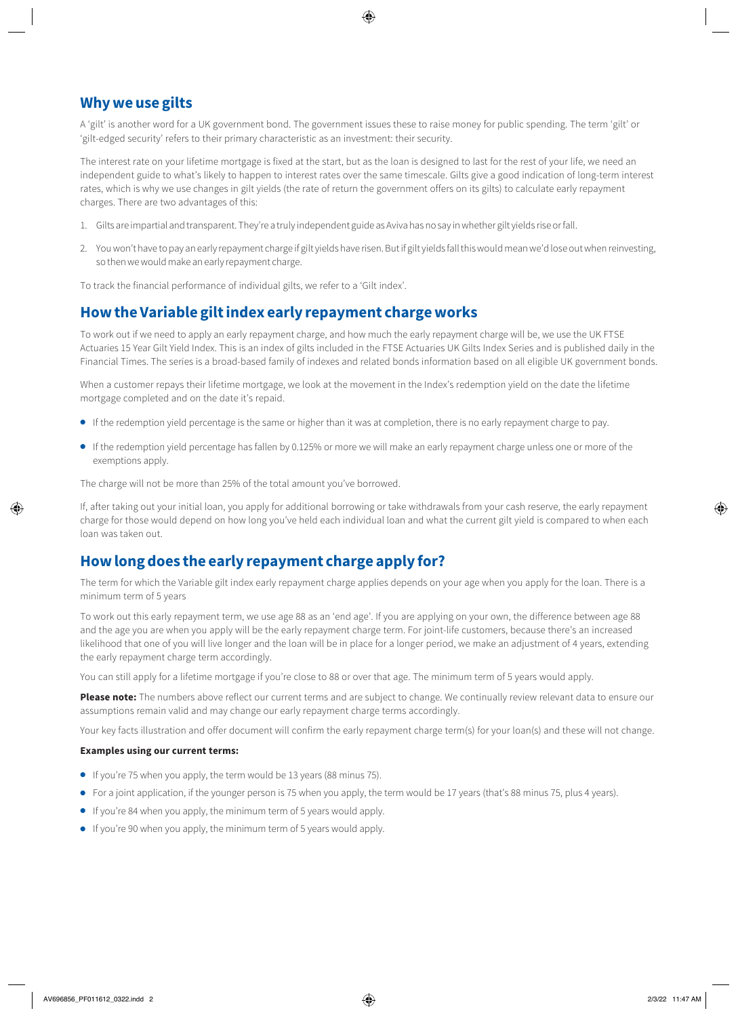## **Why we use gilts**

A 'gilt' is another word for a UK government bond. The government issues these to raise money for public spending. The term 'gilt' or 'gilt-edged security' refers to their primary characteristic as an investment: their security.

The interest rate on your lifetime mortgage is fixed at the start, but as the loan is designed to last for the rest of your life, we need an independent guide to what's likely to happen to interest rates over the same timescale. Gilts give a good indication of long-term interest rates, which is why we use changes in gilt yields (the rate of return the government offers on its gilts) to calculate early repayment charges. There are two advantages of this:

- 1. Gilts are impartial and transparent. They're a truly independent guide as Aviva has no say in whether gilt yields rise or fall.
- 2. You won't have to pay an early repayment charge if gilt yields have risen. But if gilt yields fall this would mean we'd lose out when reinvesting, so then we would make an early repayment charge.

To track the financial performance of individual gilts, we refer to a 'Gilt index'.

## **How the Variable gilt index early repayment charge works**

To work out if we need to apply an early repayment charge, and how much the early repayment charge will be, we use the UK FTSE Actuaries 15 Year Gilt Yield Index. This is an index of gilts included in the FTSE Actuaries UK Gilts Index Series and is published daily in the Financial Times. The series is a broad-based family of indexes and related bonds information based on all eligible UK government bonds.

When a customer repays their lifetime mortgage, we look at the movement in the Index's redemption yield on the date the lifetime mortgage completed and on the date it's repaid.

- If the redemption yield percentage is the same or higher than it was at completion, there is no early repayment charge to pay.
- If the redemption yield percentage has fallen by 0.125% or more we will make an early repayment charge unless one or more of the exemptions apply.

The charge will not be more than 25% of the total amount you've borrowed.

If, after taking out your initial loan, you apply for additional borrowing or take withdrawals from your cash reserve, the early repayment charge for those would depend on how long you've held each individual loan and what the current gilt yield is compared to when each loan was taken out.

## **How long does the early repayment charge apply for?**

The term for which the Variable gilt index early repayment charge applies depends on your age when you apply for the loan. There is a minimum term of 5 years

To work out this early repayment term, we use age 88 as an 'end age'. If you are applying on your own, the difference between age 88 and the age you are when you apply will be the early repayment charge term. For joint-life customers, because there's an increased likelihood that one of you will live longer and the loan will be in place for a longer period, we make an adjustment of 4 years, extending the early repayment charge term accordingly.

You can still apply for a lifetime mortgage if you're close to 88 or over that age. The minimum term of 5 years would apply.

Please note: The numbers above reflect our current terms and are subject to change. We continually review relevant data to ensure our assumptions remain valid and may change our early repayment charge terms accordingly.

Your key facts illustration and offer document will confirm the early repayment charge term(s) for your loan(s) and these will not change.

#### **Examples using our current terms:**

- If you're 75 when you apply, the term would be 13 years (88 minus 75).
- For a joint application, if the younger person is 75 when you apply, the term would be 17 years (that's 88 minus 75, plus 4 years).
- If you're 84 when you apply, the minimum term of 5 years would apply.
- If you're 90 when you apply, the minimum term of 5 years would apply.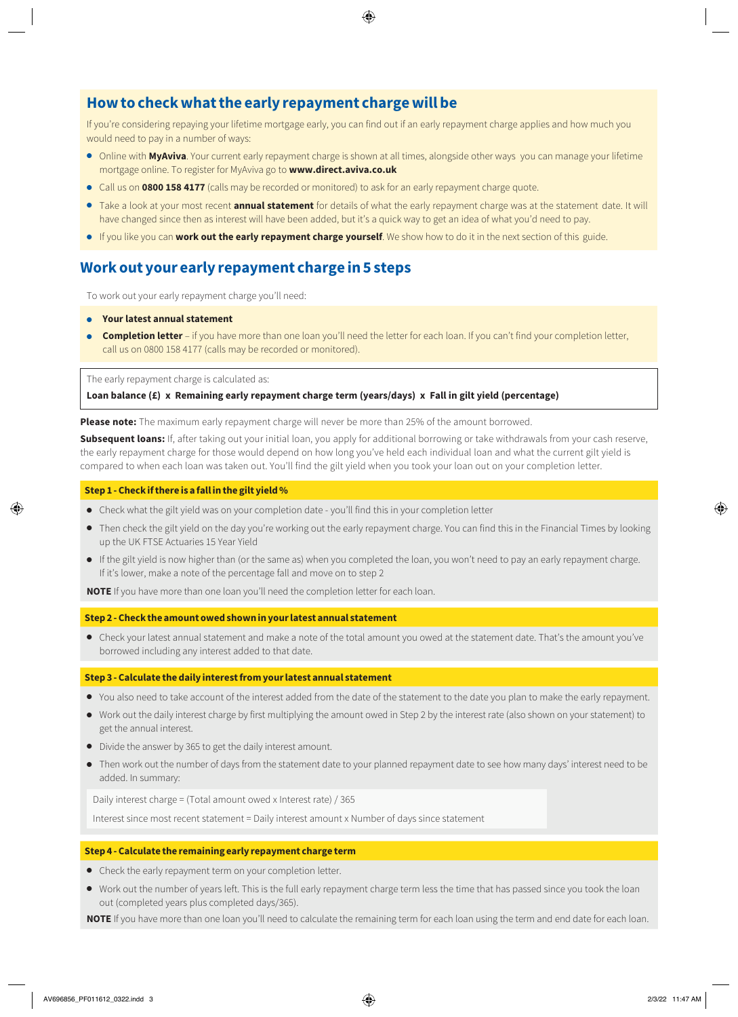## **How to check what the early repayment charge will be**

If you're considering repaying your lifetime mortgage early, you can find out if an early repayment charge applies and how much you would need to pay in a number of ways:

- Online with **MyAviva**. Your current early repayment charge is shown at all times, alongside other ways you can manage your lifetime mortgage online. To register for MyAviva go to **[www.direct.aviva.co.uk](http://www.direct.aviva.co.uk)**
- Call us on **0800 158 4177** (calls may be recorded or monitored) to ask for an early repayment charge quote.
- Take a look at your most recent **annual statement** for details of what the early repayment charge was at the statement date. It will have changed since then as interest will have been added, but it's a quick way to get an idea of what you'd need to pay.
- If you like you can **work out the early repayment charge yourself**. We show how to do it in the next section of this guide.

## **Work out your early repayment charge in 5 steps**

To work out your early repayment charge you'll need:

- **Your latest annual statement**
- **Completion letter** if you have more than one loan you'll need the letter for each loan. If you can't find your completion letter, call us on 0800 158 4177 (calls may be recorded or monitored).

The early repayment charge is calculated as:

**Loan balance (£) x Remaining early repayment charge term (years/days) x Fall in gilt yield (percentage)**

**Please note:** The maximum early repayment charge will never be more than 25% of the amount borrowed.

**Subsequent loans:** If, after taking out your initial loan, you apply for additional borrowing or take withdrawals from your cash reserve, the early repayment charge for those would depend on how long you've held each individual loan and what the current gilt yield is compared to when each loan was taken out. You'll find the gilt yield when you took your loan out on your completion letter.

#### **Step 1 - Check if there is a fall in the gilt yield %**

- Check what the gilt yield was on your completion date you'll find this in your completion letter
- Then check the gilt yield on the day you're working out the early repayment charge. You can find this in the Financial Times by looking up the UK FTSE Actuaries 15 Year Yield
- If the gilt yield is now higher than (or the same as) when you completed the loan, you won't need to pay an early repayment charge. If it's lower, make a note of the percentage fall and move on to step 2

**NOTE** If you have more than one loan you'll need the completion letter for each loan.

**Step 2 - Check the amount owed shown in your latest annual statement**

● Check your latest annual statement and make a note of the total amount you owed at the statement date. That's the amount you've borrowed including any interest added to that date.

#### **Step 3 - Calculate the daily interest from your latest annual statement**

- You also need to take account of the interest added from the date of the statement to the date you plan to make the early repayment.
- Work out the daily interest charge by first multiplying the amount owed in Step 2 by the interest rate (also shown on your statement) to get the annual interest.
- Divide the answer by 365 to get the daily interest amount.
- Then work out the number of days from the statement date to your planned repayment date to see how many days' interest need to be added. In summary:

Daily interest charge = (Total amount owed x Interest rate) / 365

Interest since most recent statement = Daily interest amount x Number of days since statement

#### **Step 4 - Calculate the remaining early repayment charge term**

- Check the early repayment term on your completion letter.
- Work out the number of years left. This is the full early repayment charge term less the time that has passed since you took the loan out (completed years plus completed days/365).

**NOTE** If you have more than one loan you'll need to calculate the remaining term for each loan using the term and end date for each loan.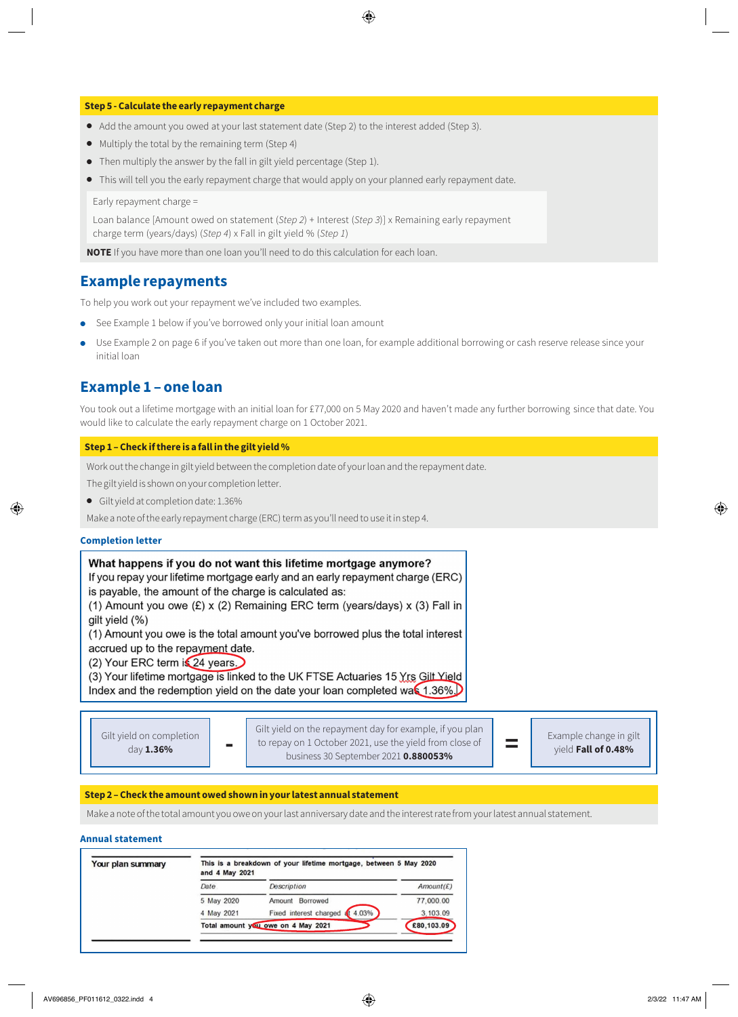#### **Step 5 - Calculate the early repayment charge**

- Add the amount you owed at your last statement date (Step 2) to the interest added (Step 3).
- Multiply the total by the remaining term (Step 4)
- Then multiply the answer by the fall in gilt yield percentage (Step 1).
- This will tell you the early repayment charge that would apply on your planned early repayment date.

Early repayment charge =

Loan balance [Amount owed on statement (*Step 2*) + Interest (*Step 3*)] x Remaining early repayment charge term (years/days) (*Step 4*) x Fall in gilt yield % (*Step 1*)

**NOTE** If you have more than one loan you'll need to do this calculation for each loan.

## **Example repayments**

To help you work out your repayment we've included two examples.

- See Example 1 below if you've borrowed only your initial loan amount
- Use Example 2 on page 6 if you've taken out more than one loan, for example additional borrowing or cash reserve release since your initial loan

### **Example 1 – one loan**

You took out a lifetime mortgage with an initial loan for £77,000 on 5 May 2020 and haven't made any further borrowing since that date. You would like to calculate the early repayment charge on 1 October 2021.

#### **Step 1 – Check if there is a fall in the gilt yield %**

Work out the change in gilt yield between the completion date of your loan and the repayment date.

The gilt yield is shown on your completion letter.

● Gilt yield at completion date: 1.36%

Make a note of the early repayment charge (ERC) term as you'll need to use it in step 4.

#### **Completion letter**

| (1) Amount you owe (£) x (2) Remaining ERC term (years/days) x (3) Fall in                                                                                                                                                                                                                                                              | What happens if you do not want this lifetime mortgage anymore?<br>If you repay your lifetime mortgage early and an early repayment charge (ERC)<br>is payable, the amount of the charge is calculated as: |
|-----------------------------------------------------------------------------------------------------------------------------------------------------------------------------------------------------------------------------------------------------------------------------------------------------------------------------------------|------------------------------------------------------------------------------------------------------------------------------------------------------------------------------------------------------------|
| gilt yield (%)<br>(1) Amount you owe is the total amount you've borrowed plus the total interest<br>accrued up to the repayment date.<br>(2) Your ERC term is 24 years.<br>(3) Your lifetime mortgage is linked to the UK FTSE Actuaries 15 Yrs Gilt Yield<br>Index and the redemption yield on the date your loan completed was 1.36%. |                                                                                                                                                                                                            |

| Gilt yield on completion<br>day $1.36\%$ |  | Gilt yield on the repayment day for example, if you plan<br>to repay on 1 October 2021, use the yield from close of<br>business 30 September 2021 <b>0.880053%</b> |  | Example change in gilt<br>vield Fall of 0.48% |
|------------------------------------------|--|--------------------------------------------------------------------------------------------------------------------------------------------------------------------|--|-----------------------------------------------|
|------------------------------------------|--|--------------------------------------------------------------------------------------------------------------------------------------------------------------------|--|-----------------------------------------------|

#### **Step 2 – Check the amount owed shown in your latest annual statement**

Make a note of the total amount you owe on your last anniversary date and the interest rate from your latest annual statement.

#### **Annual statement**

| Your plan summary | This is a breakdown of your lifetime mortgage, between 5 May 2020<br>and 4 May 2021 |                                    |            |
|-------------------|-------------------------------------------------------------------------------------|------------------------------------|------------|
|                   | Date                                                                                | Description                        | Amount(E)  |
|                   | 5 May 2020                                                                          | Amount Borrowed                    | 77,000.00  |
|                   | 4 May 2021                                                                          | 4.03%<br>Fixed interest charged at | 3,103.09   |
|                   |                                                                                     | Total amount you owe on 4 May 2021 | £80,103.09 |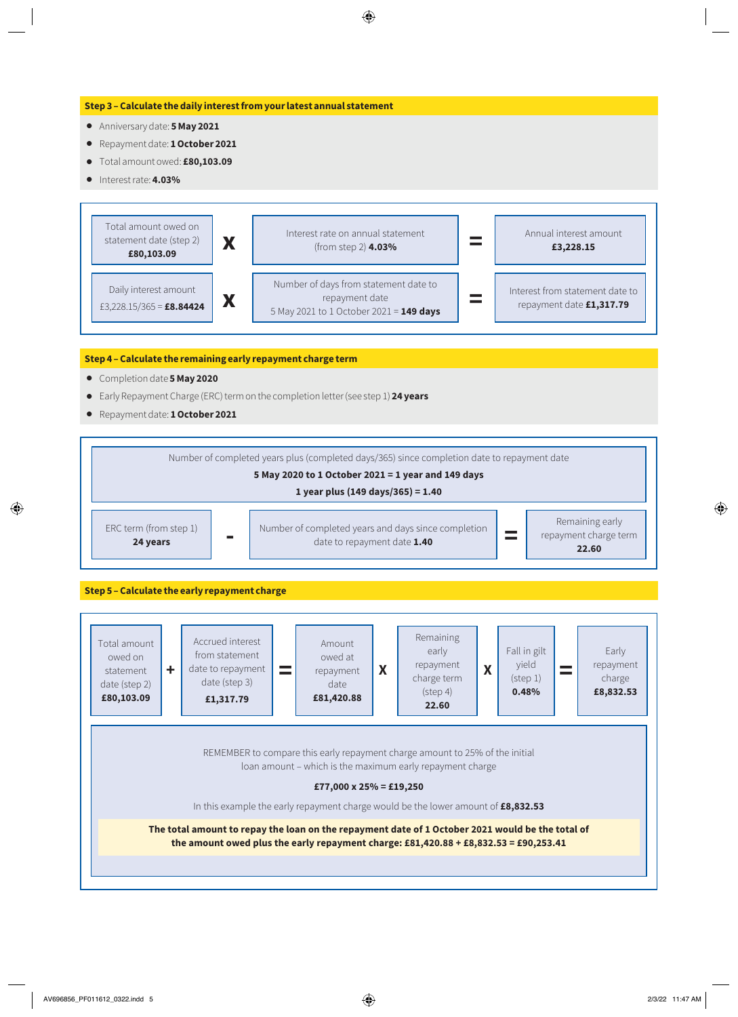#### **Step 3 – Calculate the daily interest from your latest annual statement**

- Anniversary date: **5 May 2021**
- Repayment date: **1 October 2021**
- Total amount owed: **£80,103.09**
- Interest rate: **4.03%**



#### **Step 4 – Calculate the remaining early repayment charge term**

- Completion date **5 May 2020**
- Early Repayment Charge (ERC) term on the completion letter (see step 1) **24 years**
- Repayment date: **1 October 2021**



**Step 5 – Calculate the early repayment charge**

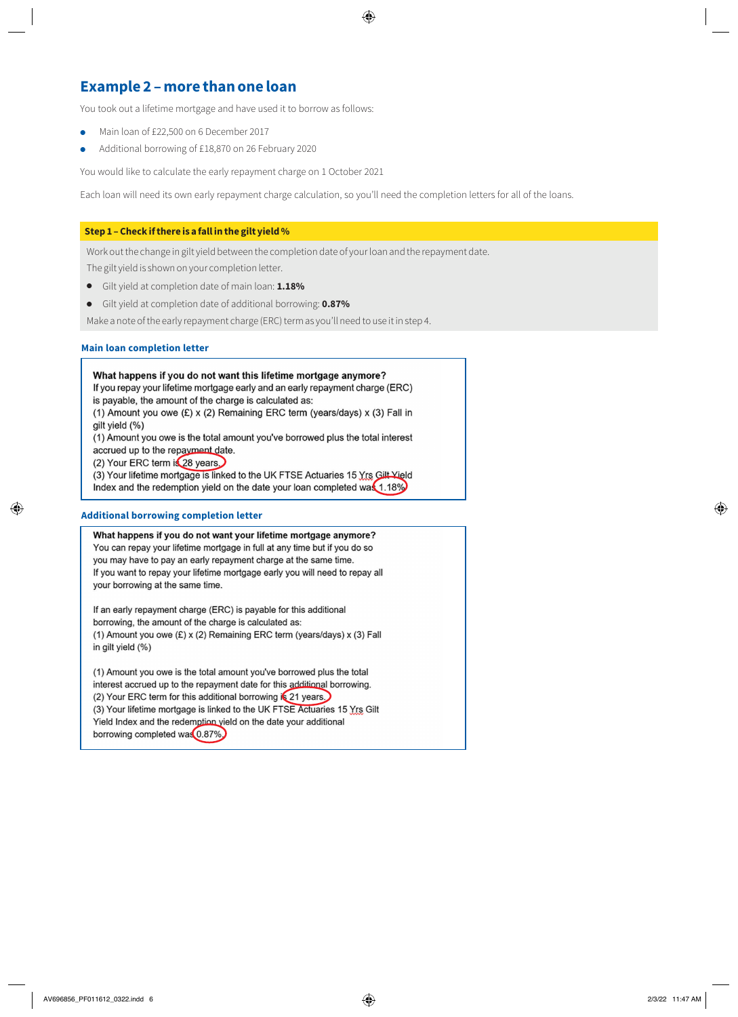## **Example 2 – more than one loan**

You took out a lifetime mortgage and have used it to borrow as follows:

- Main loan of £22,500 on 6 December 2017
- Additional borrowing of £18,870 on 26 February 2020

You would like to calculate the early repayment charge on 1 October 2021

Each loan will need its own early repayment charge calculation, so you'll need the completion letters for all of the loans.

#### **Step 1 – Check if there is a fall in the gilt yield %**

Work out the change in gilt yield between the completion date of your loan and the repayment date.

The gilt yield is shown on your completion letter.

- Gilt yield at completion date of main loan: **1.18%**
- Gilt yield at completion date of additional borrowing: **0.87%**

Make a note of the early repayment charge (ERC) term as you'll need to use it in step 4.

#### **Main loan completion letter**

#### What happens if you do not want this lifetime mortgage anymore?

If you repay your lifetime mortgage early and an early repayment charge (ERC) is payable, the amount of the charge is calculated as:

(1) Amount you owe  $(E)$  x (2) Remaining ERC term (years/days) x (3) Fall in ailt vield (%)

(1) Amount you owe is the total amount you've borrowed plus the total interest accrued up to the repayment date.

(2) Your ERC term is 28 years.

(3) Your lifetime mortgage is linked to the UK FTSE Actuaries 15 Yrs Gilt Yield Index and the redemption yield on the date your loan completed was 1.18%

#### **Additional borrowing completion letter**

What happens if you do not want your lifetime mortgage anymore? You can repay your lifetime mortgage in full at any time but if you do so you may have to pay an early repayment charge at the same time. If you want to repay your lifetime mortgage early you will need to repay all your borrowing at the same time.

If an early repayment charge (ERC) is payable for this additional borrowing, the amount of the charge is calculated as: (1) Amount you owe (£) x (2) Remaining ERC term (years/days) x (3) Fall in gilt yield (%)

(1) Amount you owe is the total amount you've borrowed plus the total interest accrued up to the repayment date for this additional borrowing. (2) Your ERC term for this additional borrowing is 21 years. (3) Your lifetime mortgage is linked to the UK FTSE Actuaries 15 Yrs Gilt Yield Index and the redemption yield on the date your additional borrowing completed was 0.87%.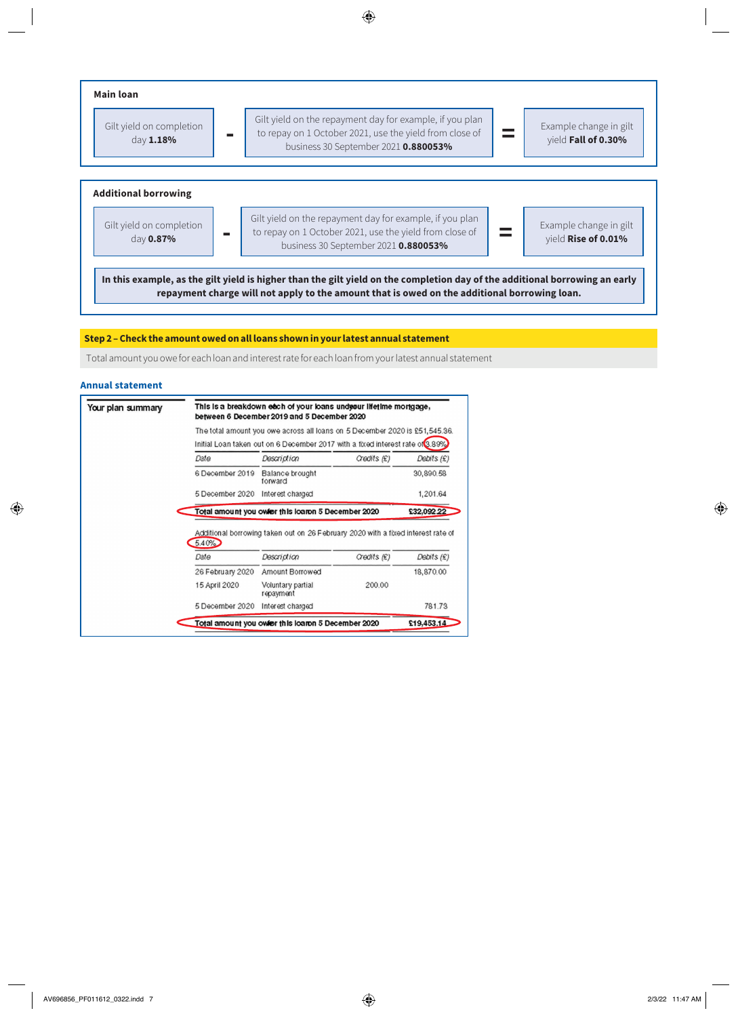

#### **Step 2 – Check the amount owed on all loans shown in your latest annual statement**

Total amount you owe for each loan and interest rate for each loan from your latest annual statement

#### **Annual statement**

| Your plan summary |                                                                                | This is a breakdown each of your loans und pour lifetime mortgage,<br>between 6 December 2019 and 5 December 2020 |                  |              |  |  |  |
|-------------------|--------------------------------------------------------------------------------|-------------------------------------------------------------------------------------------------------------------|------------------|--------------|--|--|--|
|                   |                                                                                | The total amount you owe across all loans on 5 December 2020 is £51,545.36.                                       |                  |              |  |  |  |
|                   | Initial Loan taken out on 6 December 2017 with a fixed interest rate of 3.89%. |                                                                                                                   |                  |              |  |  |  |
|                   | Date                                                                           | Description                                                                                                       | $G$ edits $(E)$  | Debits $(E)$ |  |  |  |
|                   | 6 December 2019                                                                | Balance brought<br>forward                                                                                        |                  | 30,890.58    |  |  |  |
|                   | 5 December 2020 Interest charged                                               |                                                                                                                   |                  | 1,201.64     |  |  |  |
|                   |                                                                                |                                                                                                                   |                  |              |  |  |  |
|                   |                                                                                | Total amount you owler this loaron 5 December 2020                                                                |                  | £32,092.22   |  |  |  |
|                   | 5.40%                                                                          | Additional borrowing taken out on 26 February 2020 with a fixed interest rate of                                  |                  |              |  |  |  |
|                   | Date                                                                           | <b>Description</b>                                                                                                | $C$ redits $(E)$ | Debits $(E)$ |  |  |  |
|                   | 26 February 2020                                                               | Amount Borrowed                                                                                                   |                  | 18,870.00    |  |  |  |
|                   | 15 April 2020                                                                  | Voluntary partial<br>repayment                                                                                    | 200.00           |              |  |  |  |
|                   | 5 December 2020                                                                | Interest charged                                                                                                  |                  | 781.73       |  |  |  |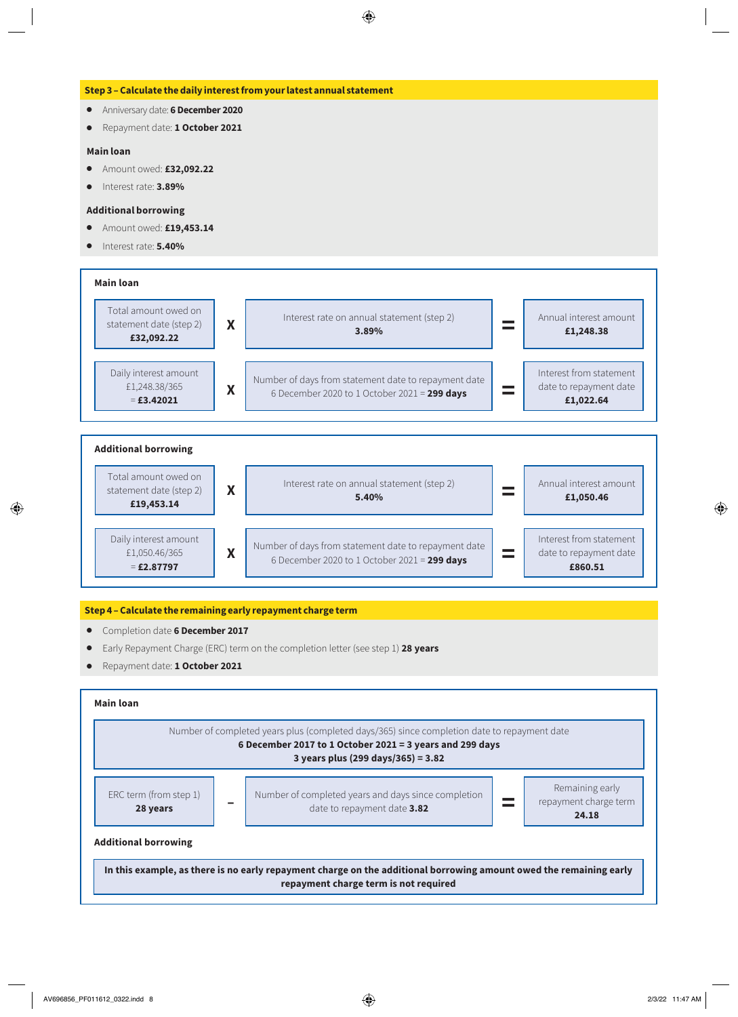#### **Step 3 – Calculate the daily interest from your latest annual statement**

- Anniversary date: **6 December 2020**
- Repayment date: **1 October 2021**

#### **Main loan**

- Amount owed: **£32,092.22**
- Interest rate: **3.89%**

#### **Additional borrowing**

- Amount owed: **£19,453.14**
- Interest rate: **5.40%**





#### **Step 4 – Calculate the remaining early repayment charge term**

- Completion date **6 December 2017**
- Early Repayment Charge (ERC) term on the completion letter (see step 1) **28 years**
- Repayment date: **1 October 2021**

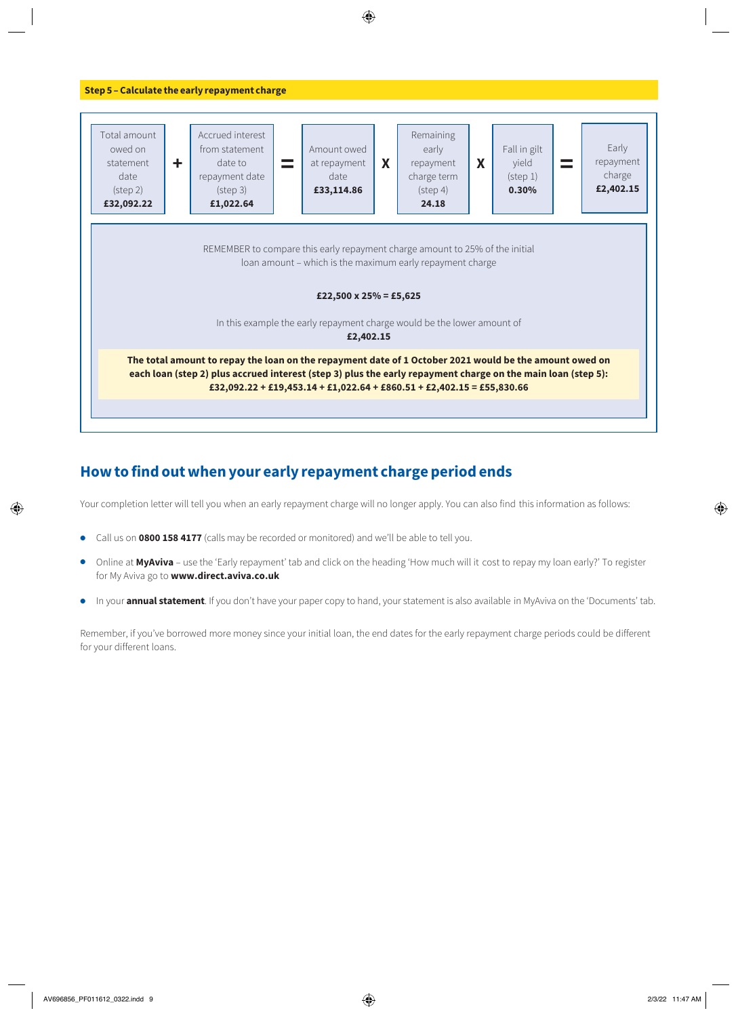

## **How to find out when your early repayment charge period ends**

Your completion letter will tell you when an early repayment charge will no longer apply. You can also find this information as follows:

- Call us on **0800 158 4177** (calls may be recorded or monitored) and we'll be able to tell you.
- Online at **MyAviva** use the 'Early repayment' tab and click on the heading 'How much will it cost to repay my loan early?' To register for My Aviva go to **[www.direct.aviva.co.uk](http://www.direct.aviva.co.uk)**
- In your **annual statement**. If you don't have your paper copy to hand, your statement is also available in MyAviva on the 'Documents' tab.

Remember, if you've borrowed more money since your initial loan, the end dates for the early repayment charge periods could be different for your different loans.